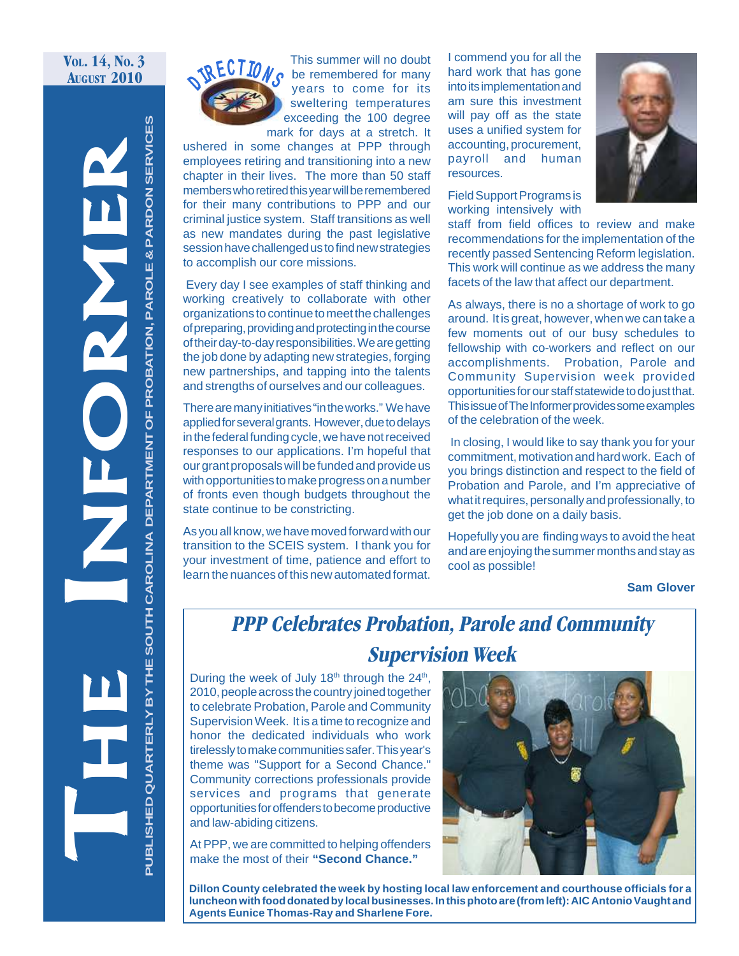#### **VOL. 14, NO. 3 AUGUST 2010**

**SERVICES PUBLISHED QUARTERLY BY THE SOUTH CAROLINA DEPARTMENT OF PROBATION, PAROLE & PARDON SERVICES** THE INNER DEPARTMENT OF PROBATION, PAROLE & PARDON SERVICE **PROBATION, PAROLE & PARDON** THE SOUTH CAROLINA DEPARTMENT OF .<br>ם′ **PUBLISHED QUARTERLY** 



 $\frac{1}{\sqrt{R}}$  **ECTION** S be remembered for many This summer will no doubt years to come for its sweltering temperatures exceeding the 100 degree mark for days at a stretch. It

ushered in some changes at PPP through employees retiring and transitioning into a new chapter in their lives. The more than 50 staff members who retired this year will be remembered for their many contributions to PPP and our criminal justice system. Staff transitions as well as new mandates during the past legislative session have challenged us to find new strategies to accomplish our core missions.

 Every day I see examples of staff thinking and working creatively to collaborate with other organizations to continue to meet the challenges of preparing, providing and protecting in the course of their day-to-day responsibilities. We are getting the job done by adapting new strategies, forging new partnerships, and tapping into the talents and strengths of ourselves and our colleagues.

There are many initiatives "in the works." We have applied for several grants. However, due to delays in the federal funding cycle, we have not received responses to our applications. I'm hopeful that our grant proposals will be funded and provide us with opportunities to make progress on a number of fronts even though budgets throughout the state continue to be constricting.

As you all know, we have moved forward with our transition to the SCEIS system. I thank you for your investment of time, patience and effort to learn the nuances of this new automated format.

I commend you for all the hard work that has gone into its implementation and am sure this investment will pay off as the state uses a unified system for accounting, procurement, payroll and human resources.

Field Support Programs is working intensively with



staff from field offices to review and make recommendations for the implementation of the recently passed Sentencing Reform legislation. This work will continue as we address the many facets of the law that affect our department.

As always, there is no a shortage of work to go around. It is great, however, when we can take a few moments out of our busy schedules to fellowship with co-workers and reflect on our accomplishments. Probation, Parole and Community Supervision week provided opportunities for our staff statewide to do just that. This issue of The Informer provides some examples of the celebration of the week.

 In closing, I would like to say thank you for your commitment, motivation and hard work. Each of you brings distinction and respect to the field of Probation and Parole, and I'm appreciative of what it requires, personally and professionally, to get the job done on a daily basis.

Hopefully you are finding ways to avoid the heat and are enjoying the summer months and stay as cool as possible!

**Sam Glover**

# **PPP Celebrates Probation, Parole and Community Supervision Week**

During the week of July  $18<sup>th</sup>$  through the  $24<sup>th</sup>$ , 2010, people across the country joined together to celebrate Probation, Parole and Community Supervision Week. It is a time to recognize and honor the dedicated individuals who work tirelessly to make communities safer. This year's theme was "Support for a Second Chance." Community corrections professionals provide services and programs that generate opportunities for offenders to become productive and law-abiding citizens.

At PPP, we are committed to helping offenders make the most of their **"Second Chance."**



**Dillon County celebrated the week by hosting local law enforcement and courthouse officials for a luncheon with food donated by local businesses. In this photo are (from left): AIC Antonio Vaught and Agents Eunice Thomas-Ray and Sharlene Fore.**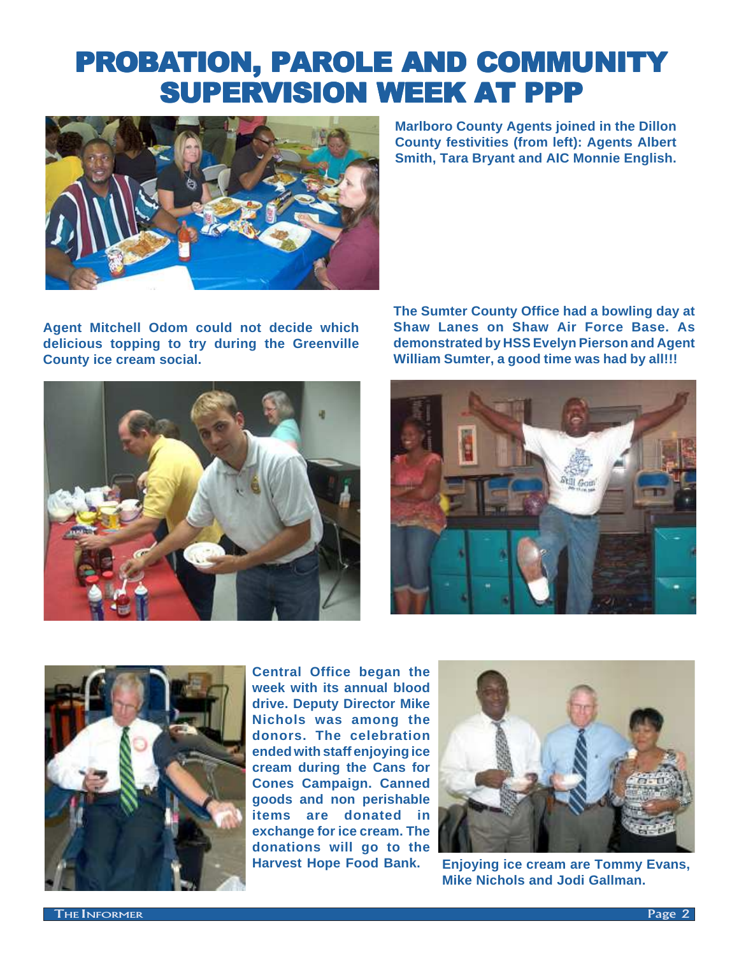# PROBATION, PAROLE AND COMMUNITY SUPERVISION WEEK AT PPP



**Agent Mitchell Odom could not decide which delicious topping to try during the Greenville County ice cream social.**

**Marlboro County Agents joined in the Dillon County festivities (from left): Agents Albert Smith, Tara Bryant and AIC Monnie English.**

**The Sumter County Office had a bowling day at Shaw Lanes on Shaw Air Force Base. As demonstrated by HSS Evelyn Pierson and Agent William Sumter, a good time was had by all!!!**







**Central Office began the week with its annual blood drive. Deputy Director Mike Nichols was among the donors. The celebration ended with staff enjoying ice cream during the Cans for Cones Campaign. Canned goods and non perishable items are donated in exchange for ice cream. The donations will go to the Harvest Hope Food Bank.**



**Enjoying ice cream are Tommy Evans, Mike Nichols and Jodi Gallman.**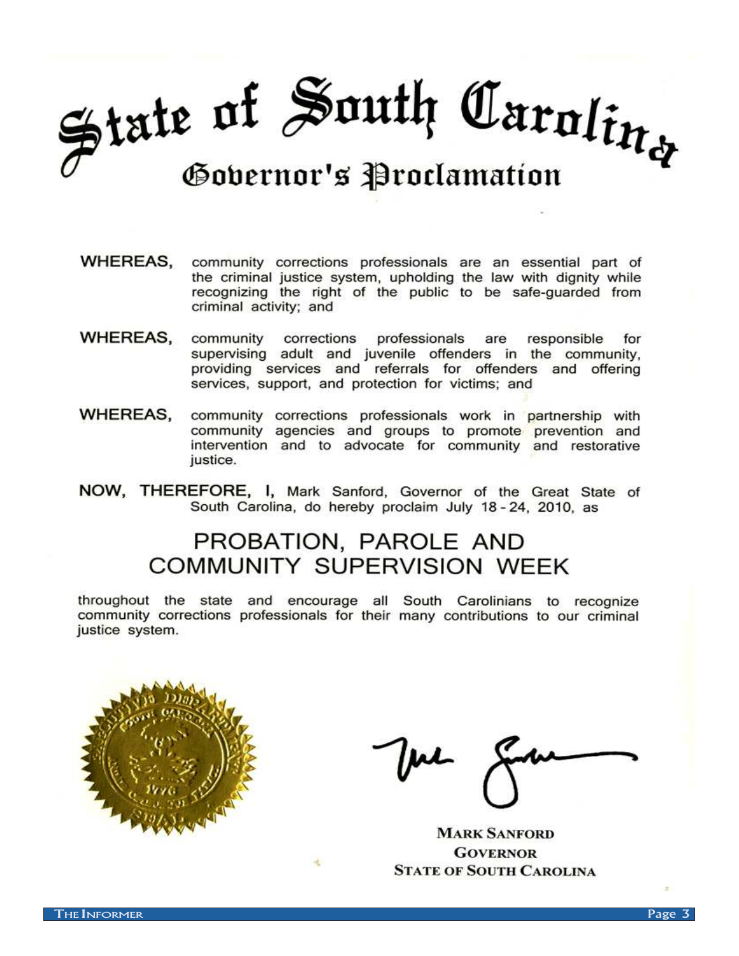# State of South Caroling Gobernor's Proclamation

- WHEREAS. community corrections professionals are an essential part of the criminal justice system, upholding the law with dignity while recognizing the right of the public to be safe-guarded from criminal activity; and
- WHEREAS. corrections professionals community are responsible for supervising adult and juvenile offenders in the community, providing services and referrals for offenders and offering services, support, and protection for victims; and
- **WHEREAS.** community corrections professionals work in partnership with community agencies and groups to promote prevention and intervention and to advocate for community and restorative justice.
- NOW, THEREFORE, I, Mark Sanford, Governor of the Great State of South Carolina, do hereby proclaim July 18-24, 2010, as

# PROBATION, PAROLE AND **COMMUNITY SUPERVISION WEEK**

throughout the state and encourage all South Carolinians to recognize community corrections professionals for their many contributions to our criminal justice system.



**MARK SANFORD GOVERNOR STATE OF SOUTH CAROLINA**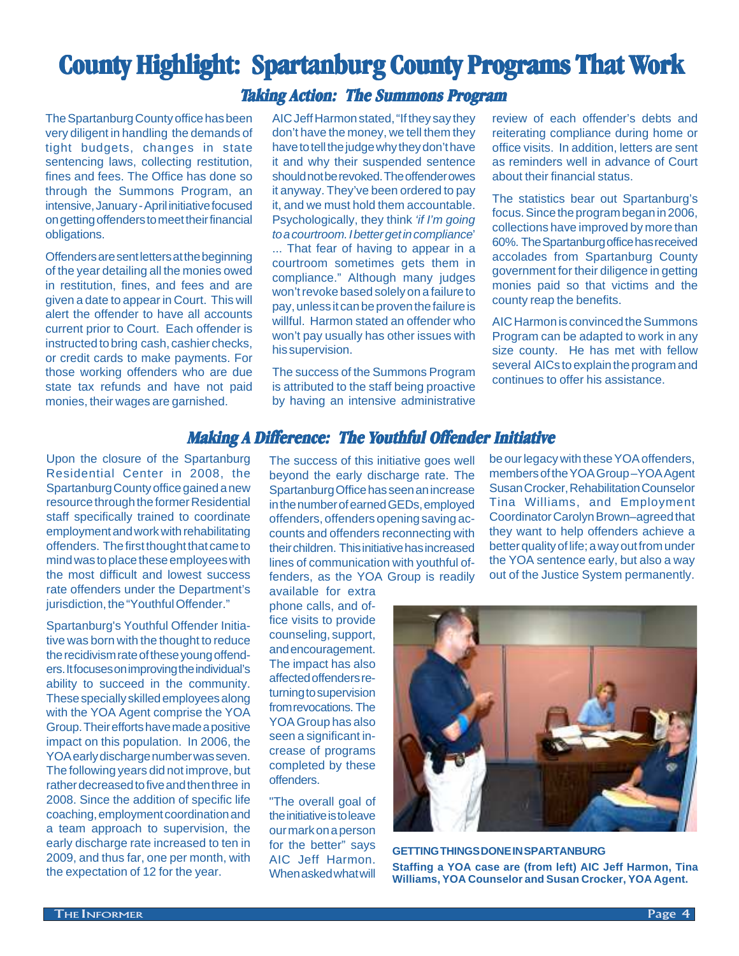# **County Highlight: Spartanburg County Programs That Work**

#### **Taking Action: The Summons Program**

The Spartanburg County office has been very diligent in handling the demands of tight budgets, changes in state sentencing laws, collecting restitution, fines and fees. The Office has done so through the Summons Program, an intensive, January - April initiative focused on getting offenders to meet their financial obligations.

Offenders are sent letters at the beginning of the year detailing all the monies owed in restitution, fines, and fees and are given a date to appear in Court. This will alert the offender to have all accounts current prior to Court. Each offender is instructed to bring cash, cashier checks, or credit cards to make payments. For those working offenders who are due state tax refunds and have not paid monies, their wages are garnished.

AIC Jeff Harmon stated, "If they say they don't have the money, we tell them they have to tell the judge why they don't have it and why their suspended sentence should not be revoked. The offender owes it anyway. They've been ordered to pay it, and we must hold them accountable. Psychologically, they think 'if I'm going to a courtroom. I better get in compliance' ... That fear of having to appear in a courtroom sometimes gets them in compliance." Although many judges won't revoke based solely on a failure to pay, unless it can be proven the failure is willful. Harmon stated an offender who won't pay usually has other issues with his supervision.

The success of the Summons Program is attributed to the staff being proactive by having an intensive administrative

review of each offender's debts and reiterating compliance during home or office visits. In addition, letters are sent as reminders well in advance of Court about their financial status.

The statistics bear out Spartanburg's focus. Since the program began in 2006, collections have improved by more than 60%. The Spartanburg office has received accolades from Spartanburg County government for their diligence in getting monies paid so that victims and the county reap the benefits.

AIC Harmon is convinced the Summons Program can be adapted to work in any size county. He has met with fellow several AICs to explain the program and continues to offer his assistance.

#### **Making A Difference: The Youthful Offender Initiative**

Upon the closure of the Spartanburg Residential Center in 2008, the Spartanburg County office gained a new resource through the former Residential staff specifically trained to coordinate employment and work with rehabilitating offenders. The first thought that came to mind was to place these employees with the most difficult and lowest success rate offenders under the Department's jurisdiction, the "Youthful Offender."

Spartanburg's Youthful Offender Initiative was born with the thought to reduce the recidivism rate of these young offenders. It focuses on improving the individual's ability to succeed in the community. These specially skilled employees along with the YOA Agent comprise the YOA Group. Their efforts have made a positive impact on this population. In 2006, the YOA early discharge number was seven. The following years did not improve, but rather decreased to five and then three in 2008. Since the addition of specific life coaching, employment coordination and a team approach to supervision, the early discharge rate increased to ten in 2009, and thus far, one per month, with the expectation of 12 for the year.

The success of this initiative goes well beyond the early discharge rate. The Spartanburg Office has seen an increase in the number of earned GEDs, employed offenders, offenders opening saving accounts and offenders reconnecting with their children. This initiative has increased lines of communication with youthful offenders, as the YOA Group is readily

available for extra phone calls, and office visits to provide counseling, support, and encouragement. The impact has also affected offenders returning to supervision from revocations. The YOA Group has also seen a significant increase of programs completed by these offenders.

"The overall goal of the initiative is to leave our mark on a person for the better" says AIC Jeff Harmon. When asked what will

be our legacy with these YOA offenders, members of the YOA Group –YOA Agent Susan Crocker, Rehabilitation Counselor Tina Williams, and Employment Coordinator Carolyn Brown–agreed that they want to help offenders achieve a better quality of life; a way out from under the YOA sentence early, but also a way out of the Justice System permanently.



**GETTING THINGS DONE IN SPARTANBURG Staffing a YOA case are (from left) AIC Jeff Harmon, Tina Williams, YOA Counselor and Susan Crocker, YOA Agent.**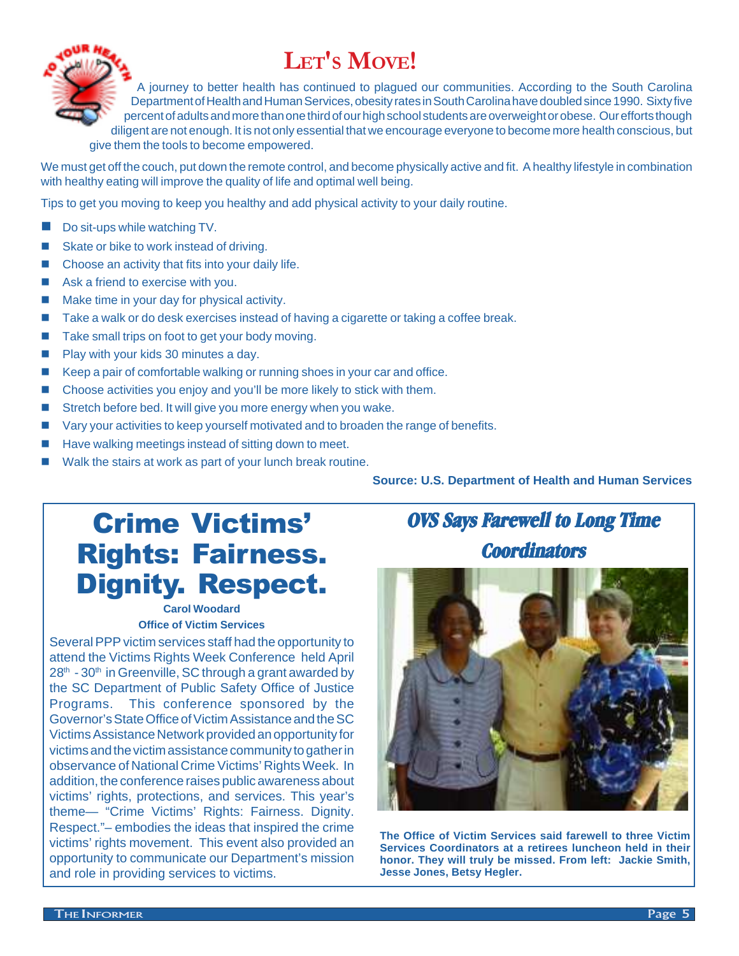# **LET'S MOVE!**



A journey to better health has continued to plagued our communities. According to the South Carolina Department of Health and Human Services, obesity rates in South Carolina have doubled since 1990. Sixty five percent of adults and more than one third of our high school students are overweight or obese. Our efforts though diligent are not enough. It is not only essential that we encourage everyone to become more health conscious, but give them the tools to become empowered.

We must get off the couch, put down the remote control, and become physically active and fit. A healthy lifestyle in combination with healthy eating will improve the quality of life and optimal well being.

Tips to get you moving to keep you healthy and add physical activity to your daily routine.

- $\blacksquare$  Do sit-ups while watching TV.
- Skate or bike to work instead of driving.
- Choose an activity that fits into your daily life.
- $\blacksquare$  Ask a friend to exercise with you.
- Make time in your day for physical activity.
- Take a walk or do desk exercises instead of having a cigarette or taking a coffee break.
- Take small trips on foot to get your body moving.
- **n** Play with your kids 30 minutes a day.
- Keep a pair of comfortable walking or running shoes in your car and office.
- Choose activities you enjoy and you'll be more likely to stick with them.
- Stretch before bed. It will give you more energy when you wake.
- Vary your activities to keep yourself motivated and to broaden the range of benefits.
- Have walking meetings instead of sitting down to meet.
- Walk the stairs at work as part of your lunch break routine.

**Source: U.S. Department of Health and Human Services**

# Crime Victims' Rights: Fairness. Dignity. Respect.

#### **Carol Woodard Office of Victim Services**

Several PPP victim services staff had the opportunity to attend the Victims Rights Week Conference held April  $28<sup>th</sup>$  - 30<sup>th</sup> in Greenville, SC through a grant awarded by the SC Department of Public Safety Office of Justice Programs. This conference sponsored by the Governor's State Office of Victim Assistance and the SC Victims Assistance Network provided an opportunity for victims and the victim assistance community to gather in observance of National Crime Victims' Rights Week. In addition, the conference raises public awareness about victims' rights, protections, and services. This year's theme— "Crime Victims' Rights: Fairness. Dignity. Respect."– embodies the ideas that inspired the crime victims' rights movement. This event also provided an opportunity to communicate our Department's mission and role in providing services to victims.

# **OVS Says Farewell to Long Time Coordinators**



**The Office of Victim Services said farewell to three Victim Services Coordinators at a retirees luncheon held in their honor. They will truly be missed. From left: Jackie Smith, Jesse Jones, Betsy Hegler.**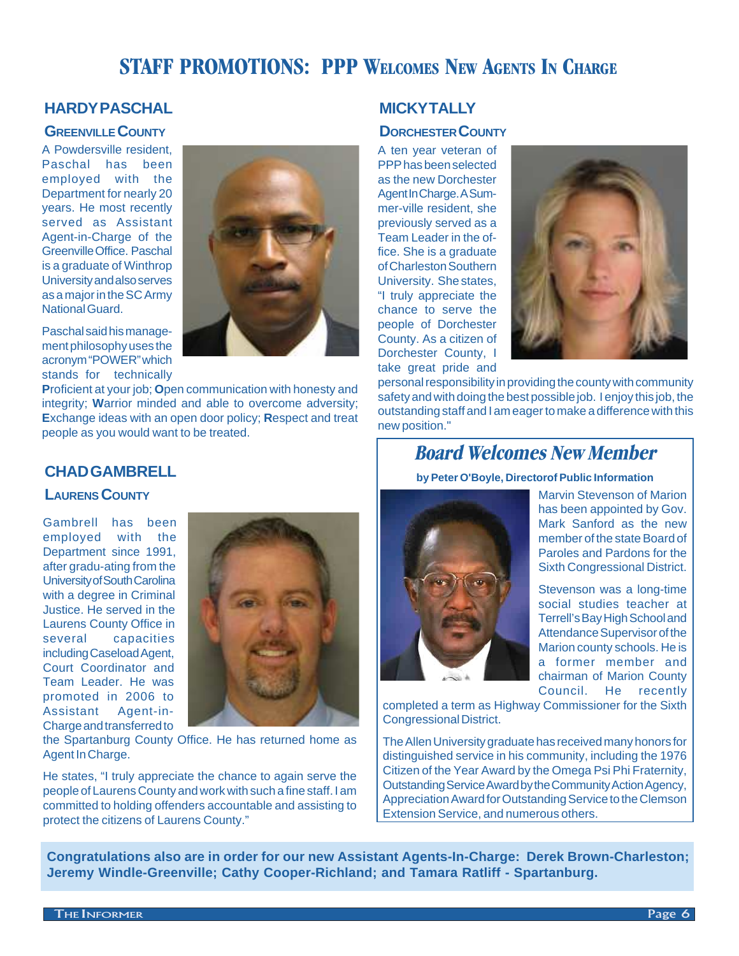## **STAFF PROMOTIONS: PPP WELCOMES NEW AGENTS IN CHARGE**

#### **HARDY PASCHAL**

#### **GREENVILLE COUNTY**

A Powdersville resident, Paschal has been employed with the Department for nearly 20 years. He most recently served as Assistant Agent-in-Charge of the Greenville Office. Paschal is a graduate of Winthrop University and also serves as a major in the SC Army National Guard.

Paschal said his management philosophy uses the acronym "POWER" which stands for technically

**P**roficient at your job; **O**pen communication with honesty and integrity; **W**arrior minded and able to overcome adversity; **E**xchange ideas with an open door policy; **R**espect and treat people as you would want to be treated.

He states, "I truly appreciate the chance to again serve the people of Laurens County and work with such a fine staff. I am committed to holding offenders accountable and assisting to

protect the citizens of Laurens County."

#### **MICKY TALLY**

#### **DORCHESTER COUNTY**

A ten year veteran of PPP has been selected as the new Dorchester Agent In Charge. A Summer-ville resident, she previously served as a Team Leader in the office. She is a graduate of Charleston Southern University. She states, "I truly appreciate the chance to serve the people of Dorchester County. As a citizen of Dorchester County, I take great pride and



personal responsibility in providing the county with community safety and with doing the best possible job. I enjoy this job, the outstanding staff and I am eager to make a difference with this new position."

## **Board Welcomes New Member**

**by Peter O'Boyle, Directorof Public Information**



Marvin Stevenson of Marion has been appointed by Gov. Mark Sanford as the new member of the state Board of Paroles and Pardons for the Sixth Congressional District.

Stevenson was a long-time social studies teacher at Terrell's Bay High School and Attendance Supervisor of the Marion county schools. He is a former member and chairman of Marion County Council. He recently

completed a term as Highway Commissioner for the Sixth Congressional District.

The Allen University graduate has received many honors for distinguished service in his community, including the 1976 Citizen of the Year Award by the Omega Psi Phi Fraternity, Outstanding Service Award by the Community Action Agency, Appreciation Award for Outstanding Service to the Clemson Extension Service, and numerous others.

**Congratulations also are in order for our new Assistant Agents-In-Charge: Derek Brown-Charleston; Jeremy Windle-Greenville; Cathy Cooper-Richland; and Tamara Ratliff - Spartanburg.**

## **CHAD GAMBRELL**

**LAURENS COUNTY**

Gambrell has been employed with the Department since 1991, after gradu-ating from the University of South Carolina with a degree in Criminal Justice. He served in the Laurens County Office in several capacities including Caseload Agent, Court Coordinator and Team Leader. He was promoted in 2006 to Assistant Agent-in-Charge and transferred to



Agent In Charge.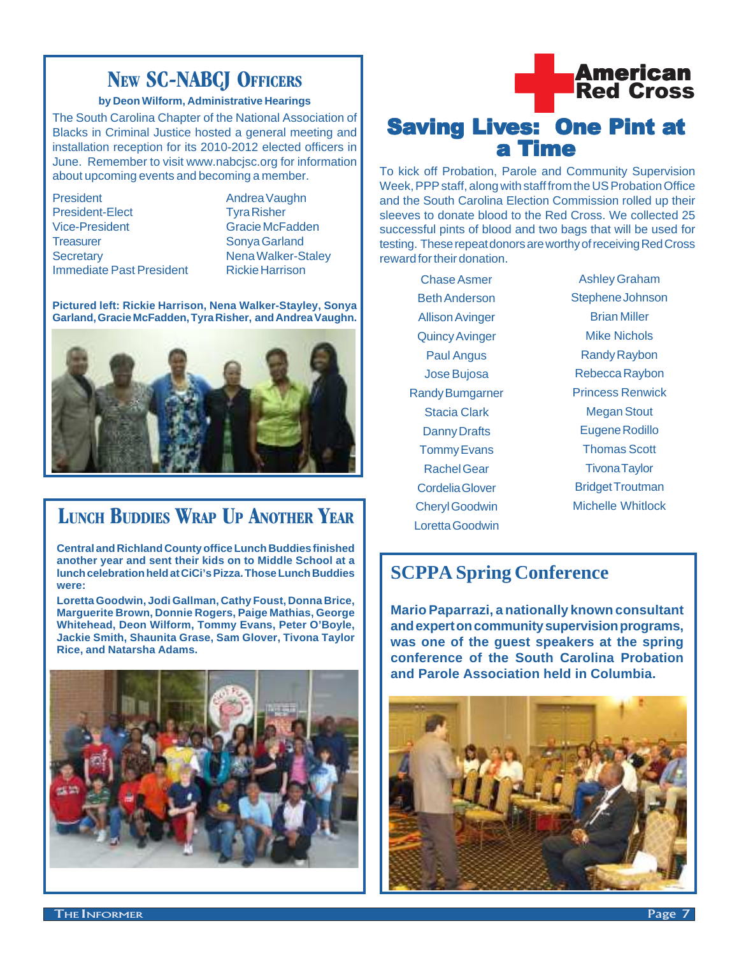## **NEW SC-NABCJ OFFICERS**

#### **by Deon Wilform, Administrative Hearings**

The South Carolina Chapter of the National Association of Blacks in Criminal Justice hosted a general meeting and installation reception for its 2010-2012 elected officers in June. Remember to visit www.nabcjsc.org for information about upcoming events and becoming a member.

President Andrea Vaughn President-Elect Tyra Risher Vice-President Gracie McFadden Treasurer Sonya Garland Secretary **Nena Walker-Staley Immediate Past President Rickie Harrison** 

**Pictured left: Rickie Harrison, Nena Walker-Stayley, Sonya Garland, Gracie McFadden, Tyra Risher, and Andrea Vaughn.**



# **LUNCH BUDDIES WRAP UP ANOTHER YEAR**

**Central and Richland County office Lunch Buddies finished another year and sent their kids on to Middle School at a lunch celebration held at CiCi's Pizza. Those Lunch Buddies were:**

**Loretta Goodwin, Jodi Gallman, Cathy Foust, Donna Brice, Marguerite Brown, Donnie Rogers, Paige Mathias, George Whitehead, Deon Wilform, Tommy Evans, Peter O'Boyle, Jackie Smith, Shaunita Grase, Sam Glover, Tivona Taylor Rice, and Natarsha Adams.**





# a Time

To kick off Probation, Parole and Community Supervision Week, PPP staff, along with staff from the US Probation Office and the South Carolina Election Commission rolled up their sleeves to donate blood to the Red Cross. We collected 25 successful pints of blood and two bags that will be used for testing. These repeat donors are worthy of receiving Red Cross reward for their donation.

Chase Asmer Beth Anderson Allison Avinger Quincy Avinger Paul Angus Jose Bujosa Randy Bumgarner Stacia Clark Danny Drafts Tommy Evans Rachel Gear Cordelia Glover Cheryl Goodwin Loretta Goodwin

Ashley Graham Stephene Johnson Brian Miller Mike Nichols Randy Raybon Rebecca Raybon Princess Renwick Megan Stout Eugene Rodillo Thomas Scott Tivona Taylor Bridget Troutman Michelle Whitlock

## **SCPPA Spring Conference**

**Mario Paparrazi, a nationally known consultant and expert on community supervision programs, was one of the guest speakers at the spring conference of the South Carolina Probation and Parole Association held in Columbia.**